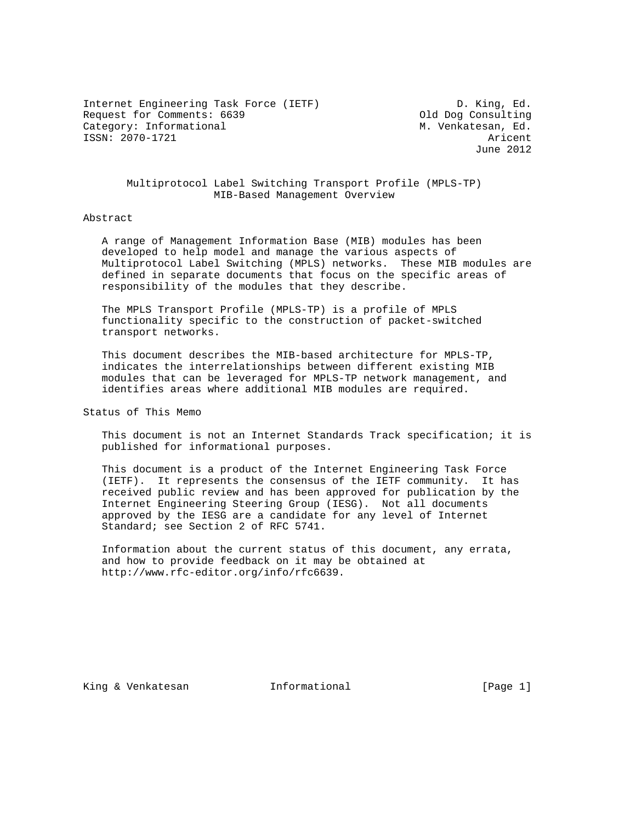Internet Engineering Task Force (IETF) D. King, Ed. Request for Comments: 6639 Consulting Category: Informational  $M.$  Venkatesan, Ed. ISSN: 2070-1721 Aricent

June 2012

## Multiprotocol Label Switching Transport Profile (MPLS-TP) MIB-Based Management Overview

#### Abstract

 A range of Management Information Base (MIB) modules has been developed to help model and manage the various aspects of Multiprotocol Label Switching (MPLS) networks. These MIB modules are defined in separate documents that focus on the specific areas of responsibility of the modules that they describe.

 The MPLS Transport Profile (MPLS-TP) is a profile of MPLS functionality specific to the construction of packet-switched transport networks.

 This document describes the MIB-based architecture for MPLS-TP, indicates the interrelationships between different existing MIB modules that can be leveraged for MPLS-TP network management, and identifies areas where additional MIB modules are required.

Status of This Memo

 This document is not an Internet Standards Track specification; it is published for informational purposes.

 This document is a product of the Internet Engineering Task Force (IETF). It represents the consensus of the IETF community. It has received public review and has been approved for publication by the Internet Engineering Steering Group (IESG). Not all documents approved by the IESG are a candidate for any level of Internet Standard; see Section 2 of RFC 5741.

 Information about the current status of this document, any errata, and how to provide feedback on it may be obtained at http://www.rfc-editor.org/info/rfc6639.

King & Venkatesan Thermational (Page 1)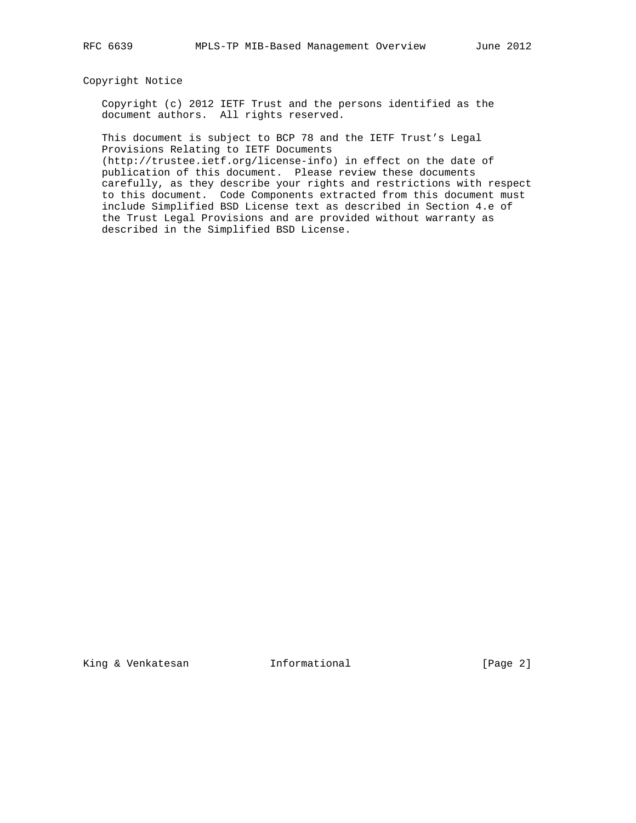## Copyright Notice

 Copyright (c) 2012 IETF Trust and the persons identified as the document authors. All rights reserved.

 This document is subject to BCP 78 and the IETF Trust's Legal Provisions Relating to IETF Documents

 (http://trustee.ietf.org/license-info) in effect on the date of publication of this document. Please review these documents carefully, as they describe your rights and restrictions with respect to this document. Code Components extracted from this document must include Simplified BSD License text as described in Section 4.e of the Trust Legal Provisions and are provided without warranty as described in the Simplified BSD License.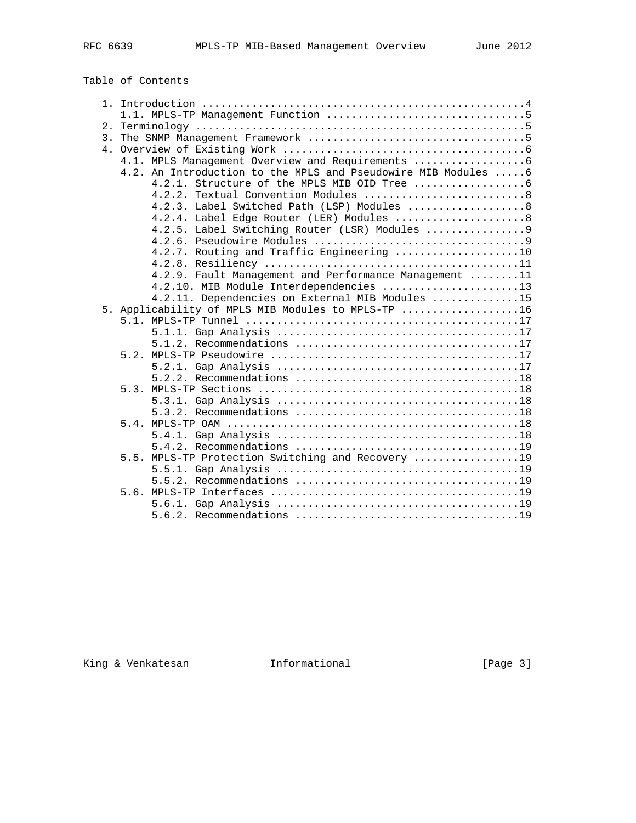| Table of Contents |  |
|-------------------|--|
|-------------------|--|

|  | 4.1. MPLS Management Overview and Requirements                 |
|--|----------------------------------------------------------------|
|  | 4.2. An Introduction to the MPLS and Pseudowire MIB Modules  6 |
|  |                                                                |
|  | 4.2.2. Textual Convention Modules  8                           |
|  | 4.2.3. Label Switched Path (LSP) Modules  8                    |
|  | 4.2.4. Label Edge Router (LER) Modules  8                      |
|  |                                                                |
|  |                                                                |
|  | 4.2.7. Routing and Traffic Engineering 10                      |
|  |                                                                |
|  | 4.2.9. Fault Management and Performance Management 11          |
|  | 4.2.10. MIB Module Interdependencies 13                        |
|  | 4.2.11. Dependencies on External MIB Modules 15                |
|  | 5. Applicability of MPLS MIB Modules to MPLS-TP 16             |
|  |                                                                |
|  |                                                                |
|  |                                                                |
|  |                                                                |
|  |                                                                |
|  |                                                                |
|  |                                                                |
|  |                                                                |
|  |                                                                |
|  |                                                                |
|  |                                                                |
|  |                                                                |
|  | 5.5. MPLS-TP Protection Switching and Recovery 19              |
|  |                                                                |
|  |                                                                |
|  |                                                                |
|  |                                                                |
|  |                                                                |

King & Venkatesan **Informational** [Page 3]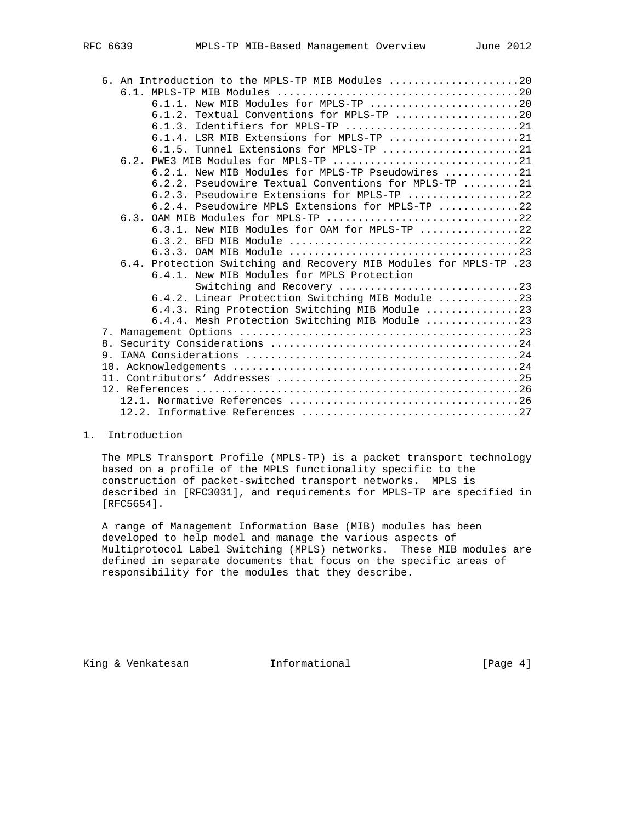|    | 6. An Introduction to the MPLS-TP MIB Modules 20                                           |
|----|--------------------------------------------------------------------------------------------|
|    |                                                                                            |
|    | $6.1.1.$ New MIB Modules for MPLS-TP $\ldots \ldots \ldots \ldots \ldots \ldots \ldots 20$ |
|    | $6.1.2$ . Textual Conventions for MPLS-TP 20                                               |
|    | 6.1.3. Identifiers for MPLS-TP 21                                                          |
|    | $6.1.4$ . LSR MIB Extensions for MPLS-TP 21                                                |
|    | 6.1.5. Tunnel Extensions for MPLS-TP 21                                                    |
|    | 6.2. PWE3 MIB Modules for MPLS-TP 21                                                       |
|    | 6.2.1. New MIB Modules for MPLS-TP Pseudowires 21                                          |
|    | 6.2.2. Pseudowire Textual Conventions for MPLS-TP 21                                       |
|    | 6.2.3. Pseudowire Extensions for MPLS-TP 22                                                |
|    | 6.2.4. Pseudowire MPLS Extensions for MPLS-TP 22                                           |
|    | 6.3. OAM MIB Modules for MPLS-TP 22                                                        |
|    | 6.3.1. New MIB Modules for OAM for MPLS-TP 22                                              |
|    |                                                                                            |
|    |                                                                                            |
|    | 6.4. Protection Switching and Recovery MIB Modules for MPLS-TP .23                         |
|    | 6.4.1. New MIB Modules for MPLS Protection                                                 |
|    | Switching and Recovery 23                                                                  |
|    | 6.4.2. Linear Protection Switching MIB Module 23                                           |
|    | 6.4.3. Ring Protection Switching MIB Module 23                                             |
|    | 6.4.4. Mesh Protection Switching MIB Module 23                                             |
|    |                                                                                            |
|    |                                                                                            |
| 9. |                                                                                            |
|    |                                                                                            |
|    |                                                                                            |
|    |                                                                                            |
|    |                                                                                            |
|    |                                                                                            |

1. Introduction

 The MPLS Transport Profile (MPLS-TP) is a packet transport technology based on a profile of the MPLS functionality specific to the construction of packet-switched transport networks. MPLS is described in [RFC3031], and requirements for MPLS-TP are specified in [RFC5654].

 A range of Management Information Base (MIB) modules has been developed to help model and manage the various aspects of Multiprotocol Label Switching (MPLS) networks. These MIB modules are defined in separate documents that focus on the specific areas of responsibility for the modules that they describe.

King & Venkatesan **Informational Informational** [Page 4]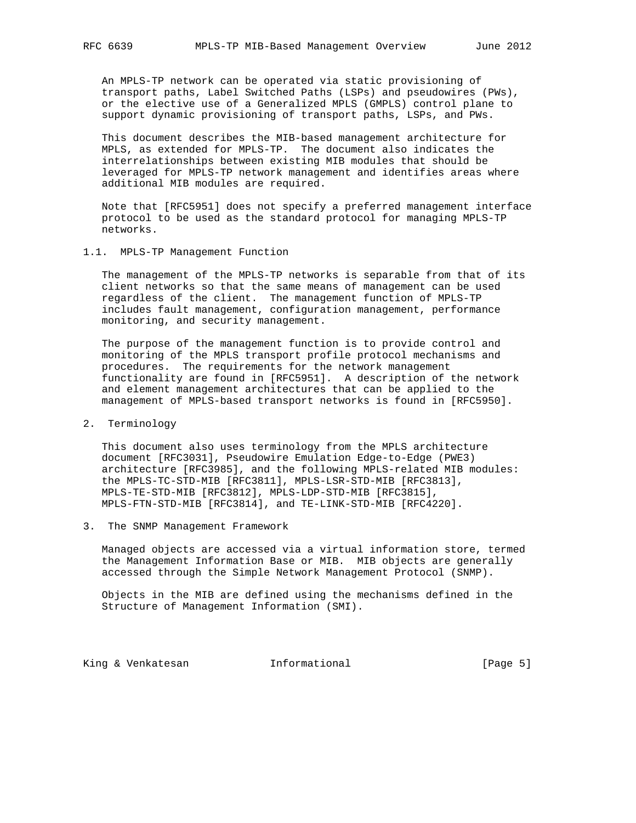An MPLS-TP network can be operated via static provisioning of transport paths, Label Switched Paths (LSPs) and pseudowires (PWs), or the elective use of a Generalized MPLS (GMPLS) control plane to support dynamic provisioning of transport paths, LSPs, and PWs.

 This document describes the MIB-based management architecture for MPLS, as extended for MPLS-TP. The document also indicates the interrelationships between existing MIB modules that should be leveraged for MPLS-TP network management and identifies areas where additional MIB modules are required.

 Note that [RFC5951] does not specify a preferred management interface protocol to be used as the standard protocol for managing MPLS-TP networks.

#### 1.1. MPLS-TP Management Function

 The management of the MPLS-TP networks is separable from that of its client networks so that the same means of management can be used regardless of the client. The management function of MPLS-TP includes fault management, configuration management, performance monitoring, and security management.

 The purpose of the management function is to provide control and monitoring of the MPLS transport profile protocol mechanisms and procedures. The requirements for the network management functionality are found in [RFC5951]. A description of the network and element management architectures that can be applied to the management of MPLS-based transport networks is found in [RFC5950].

#### 2. Terminology

 This document also uses terminology from the MPLS architecture document [RFC3031], Pseudowire Emulation Edge-to-Edge (PWE3) architecture [RFC3985], and the following MPLS-related MIB modules: the MPLS-TC-STD-MIB [RFC3811], MPLS-LSR-STD-MIB [RFC3813], MPLS-TE-STD-MIB [RFC3812], MPLS-LDP-STD-MIB [RFC3815], MPLS-FTN-STD-MIB [RFC3814], and TE-LINK-STD-MIB [RFC4220].

3. The SNMP Management Framework

 Managed objects are accessed via a virtual information store, termed the Management Information Base or MIB. MIB objects are generally accessed through the Simple Network Management Protocol (SNMP).

 Objects in the MIB are defined using the mechanisms defined in the Structure of Management Information (SMI).

King & Venkatesan Informational [Page 5]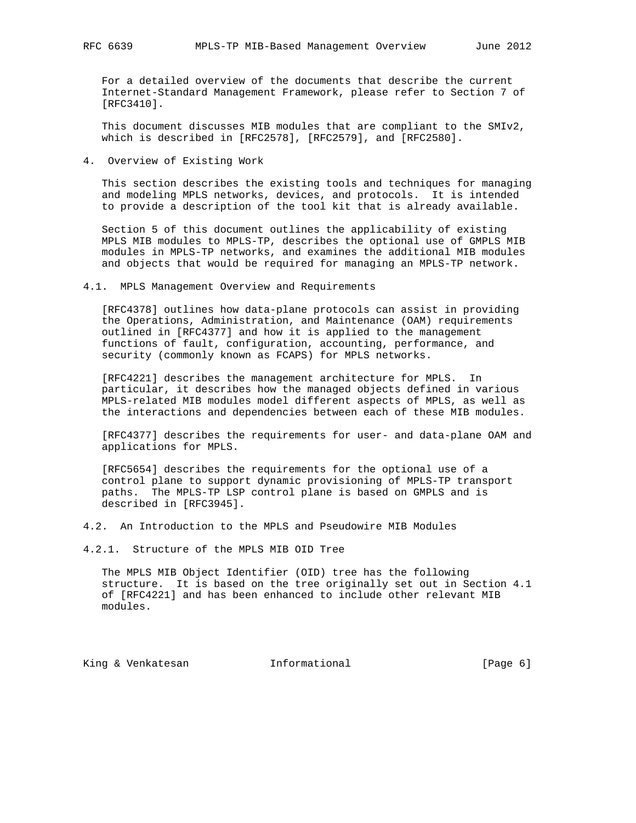For a detailed overview of the documents that describe the current Internet-Standard Management Framework, please refer to Section 7 of [RFC3410].

 This document discusses MIB modules that are compliant to the SMIv2, which is described in [RFC2578], [RFC2579], and [RFC2580].

4. Overview of Existing Work

 This section describes the existing tools and techniques for managing and modeling MPLS networks, devices, and protocols. It is intended to provide a description of the tool kit that is already available.

 Section 5 of this document outlines the applicability of existing MPLS MIB modules to MPLS-TP, describes the optional use of GMPLS MIB modules in MPLS-TP networks, and examines the additional MIB modules and objects that would be required for managing an MPLS-TP network.

4.1. MPLS Management Overview and Requirements

 [RFC4378] outlines how data-plane protocols can assist in providing the Operations, Administration, and Maintenance (OAM) requirements outlined in [RFC4377] and how it is applied to the management functions of fault, configuration, accounting, performance, and security (commonly known as FCAPS) for MPLS networks.

 [RFC4221] describes the management architecture for MPLS. In particular, it describes how the managed objects defined in various MPLS-related MIB modules model different aspects of MPLS, as well as the interactions and dependencies between each of these MIB modules.

 [RFC4377] describes the requirements for user- and data-plane OAM and applications for MPLS.

 [RFC5654] describes the requirements for the optional use of a control plane to support dynamic provisioning of MPLS-TP transport paths. The MPLS-TP LSP control plane is based on GMPLS and is described in [RFC3945].

4.2. An Introduction to the MPLS and Pseudowire MIB Modules

4.2.1. Structure of the MPLS MIB OID Tree

 The MPLS MIB Object Identifier (OID) tree has the following structure. It is based on the tree originally set out in Section 4.1 of [RFC4221] and has been enhanced to include other relevant MIB modules.

King & Venkatesan and Informational (Page 6)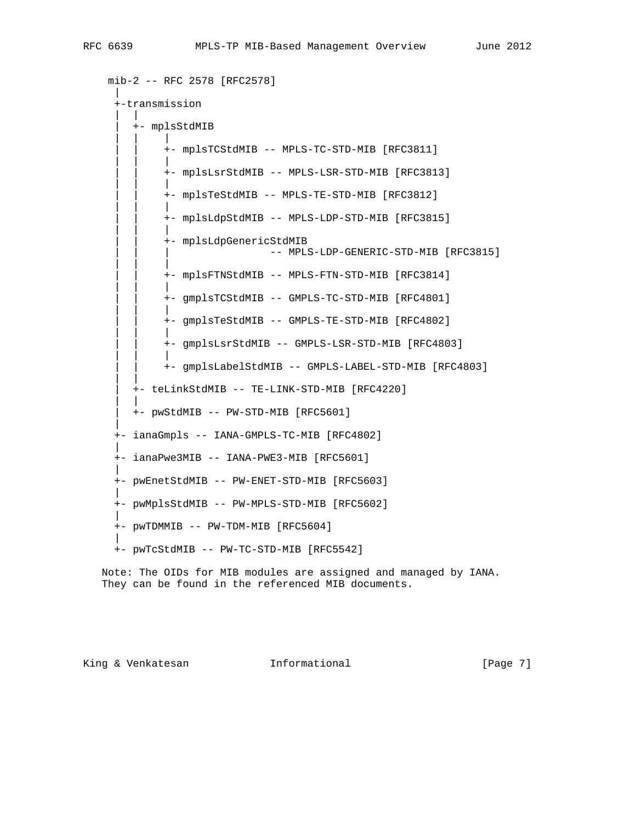```
 mib-2 -- RFC 2578 [RFC2578]
 |
     +-transmission
| | | |
        | +- mplsStdMIB
 | | |
            +- mplsTCStdMIB -- MPLS-TC-STD-MIB [RFC3811]
 | | |
            +- mplsLsrStdMIB -- MPLS-LSR-STD-MIB [RFC3813]
 | | |
             | | +- mplsTeStdMIB -- MPLS-TE-STD-MIB [RFC3812]
 | | |
            +- mplsLdpStdMIB -- MPLS-LDP-STD-MIB [RFC3815]
 | | |
             | | +- mplsLdpGenericStdMIB
                            -- MPLS-LDP-GENERIC-STD-MIB [RFC3815]
 | | |
             | | +- mplsFTNStdMIB -- MPLS-FTN-STD-MIB [RFC3814]
 | | |
             | | +- gmplsTCStdMIB -- GMPLS-TC-STD-MIB [RFC4801]
 | | |
             | | +- gmplsTeStdMIB -- GMPLS-TE-STD-MIB [RFC4802]
 | | |
             | | +- gmplsLsrStdMIB -- GMPLS-LSR-STD-MIB [RFC4803]
 | | |
             | | +- gmplsLabelStdMIB -- GMPLS-LABEL-STD-MIB [RFC4803]
| | | | | | |
        | +- teLinkStdMIB -- TE-LINK-STD-MIB [RFC4220]
| | | |
        | +- pwStdMIB -- PW-STD-MIB [RFC5601]
 |
     +- ianaGmpls -- IANA-GMPLS-TC-MIB [RFC4802]
 |
     +- ianaPwe3MIB -- IANA-PWE3-MIB [RFC5601]
 |
     +- pwEnetStdMIB -- PW-ENET-STD-MIB [RFC5603]
 |
     +- pwMplsStdMIB -- PW-MPLS-STD-MIB [RFC5602]
 |
     +- pwTDMMIB -- PW-TDM-MIB [RFC5604]
 |
     +- pwTcStdMIB -- PW-TC-STD-MIB [RFC5542]
```
 Note: The OIDs for MIB modules are assigned and managed by IANA. They can be found in the referenced MIB documents.

King & Venkatesan **Informational Informational** [Page 7]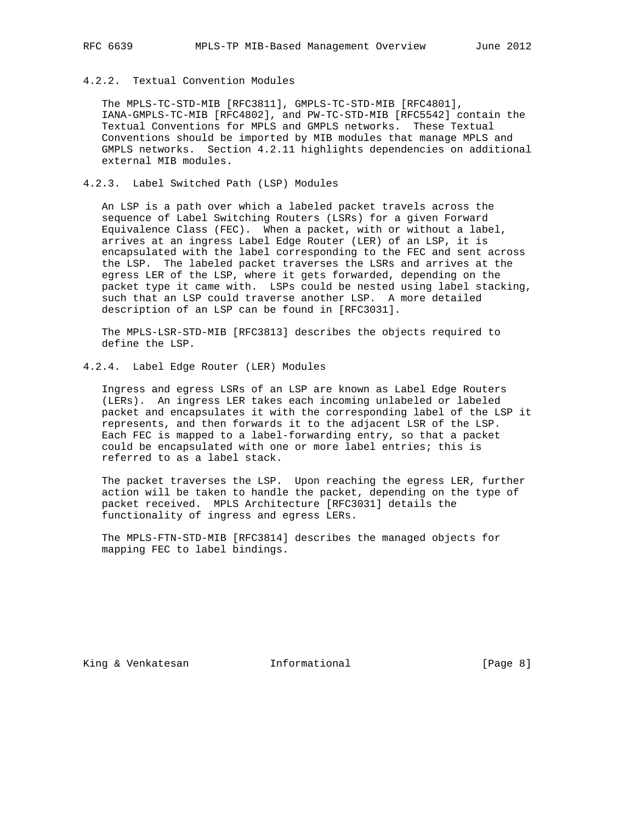# 4.2.2. Textual Convention Modules

 The MPLS-TC-STD-MIB [RFC3811], GMPLS-TC-STD-MIB [RFC4801], IANA-GMPLS-TC-MIB [RFC4802], and PW-TC-STD-MIB [RFC5542] contain the Textual Conventions for MPLS and GMPLS networks. These Textual Conventions should be imported by MIB modules that manage MPLS and GMPLS networks. Section 4.2.11 highlights dependencies on additional external MIB modules.

## 4.2.3. Label Switched Path (LSP) Modules

 An LSP is a path over which a labeled packet travels across the sequence of Label Switching Routers (LSRs) for a given Forward Equivalence Class (FEC). When a packet, with or without a label, arrives at an ingress Label Edge Router (LER) of an LSP, it is encapsulated with the label corresponding to the FEC and sent across the LSP. The labeled packet traverses the LSRs and arrives at the egress LER of the LSP, where it gets forwarded, depending on the packet type it came with. LSPs could be nested using label stacking, such that an LSP could traverse another LSP. A more detailed description of an LSP can be found in [RFC3031].

 The MPLS-LSR-STD-MIB [RFC3813] describes the objects required to define the LSP.

4.2.4. Label Edge Router (LER) Modules

 Ingress and egress LSRs of an LSP are known as Label Edge Routers (LERs). An ingress LER takes each incoming unlabeled or labeled packet and encapsulates it with the corresponding label of the LSP it represents, and then forwards it to the adjacent LSR of the LSP. Each FEC is mapped to a label-forwarding entry, so that a packet could be encapsulated with one or more label entries; this is referred to as a label stack.

 The packet traverses the LSP. Upon reaching the egress LER, further action will be taken to handle the packet, depending on the type of packet received. MPLS Architecture [RFC3031] details the functionality of ingress and egress LERs.

 The MPLS-FTN-STD-MIB [RFC3814] describes the managed objects for mapping FEC to label bindings.

King & Venkatesan and Informational (Page 8)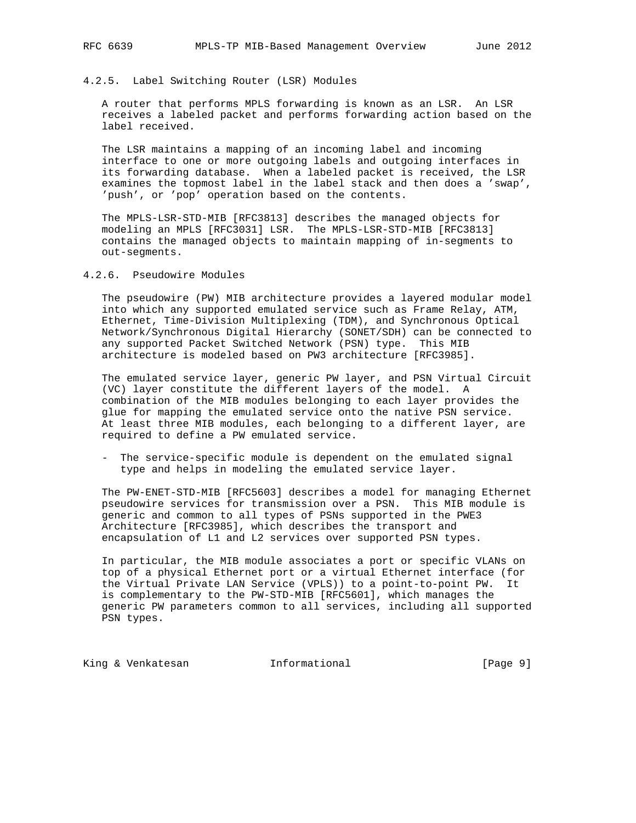## 4.2.5. Label Switching Router (LSR) Modules

 A router that performs MPLS forwarding is known as an LSR. An LSR receives a labeled packet and performs forwarding action based on the label received.

 The LSR maintains a mapping of an incoming label and incoming interface to one or more outgoing labels and outgoing interfaces in its forwarding database. When a labeled packet is received, the LSR examines the topmost label in the label stack and then does a 'swap', 'push', or 'pop' operation based on the contents.

 The MPLS-LSR-STD-MIB [RFC3813] describes the managed objects for modeling an MPLS [RFC3031] LSR. The MPLS-LSR-STD-MIB [RFC3813] contains the managed objects to maintain mapping of in-segments to out-segments.

# 4.2.6. Pseudowire Modules

 The pseudowire (PW) MIB architecture provides a layered modular model into which any supported emulated service such as Frame Relay, ATM, Ethernet, Time-Division Multiplexing (TDM), and Synchronous Optical Network/Synchronous Digital Hierarchy (SONET/SDH) can be connected to any supported Packet Switched Network (PSN) type. This MIB architecture is modeled based on PW3 architecture [RFC3985].

 The emulated service layer, generic PW layer, and PSN Virtual Circuit (VC) layer constitute the different layers of the model. A combination of the MIB modules belonging to each layer provides the glue for mapping the emulated service onto the native PSN service. At least three MIB modules, each belonging to a different layer, are required to define a PW emulated service.

 - The service-specific module is dependent on the emulated signal type and helps in modeling the emulated service layer.

 The PW-ENET-STD-MIB [RFC5603] describes a model for managing Ethernet pseudowire services for transmission over a PSN. This MIB module is generic and common to all types of PSNs supported in the PWE3 Architecture [RFC3985], which describes the transport and encapsulation of L1 and L2 services over supported PSN types.

 In particular, the MIB module associates a port or specific VLANs on top of a physical Ethernet port or a virtual Ethernet interface (for the Virtual Private LAN Service (VPLS)) to a point-to-point PW. It is complementary to the PW-STD-MIB [RFC5601], which manages the generic PW parameters common to all services, including all supported PSN types.

King & Venkatesan Minformational (Page 9)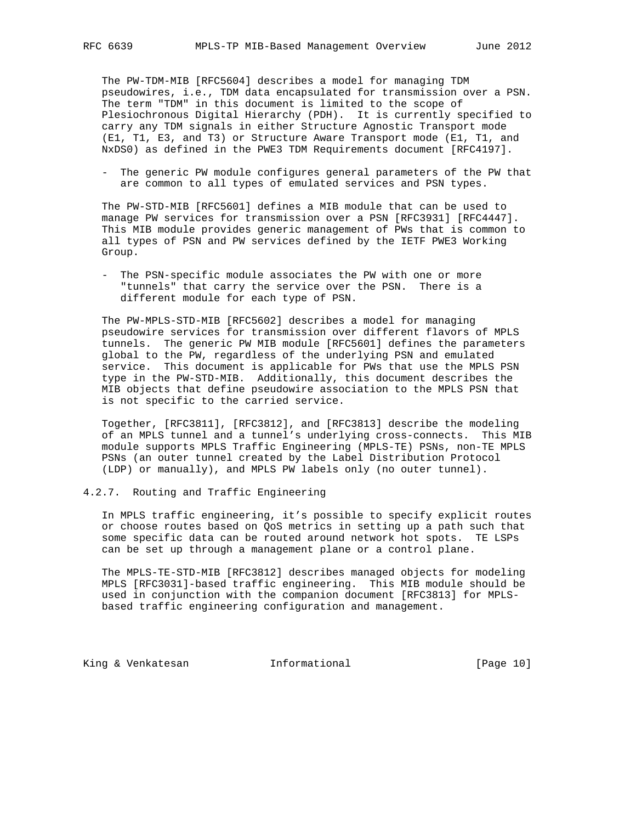The PW-TDM-MIB [RFC5604] describes a model for managing TDM pseudowires, i.e., TDM data encapsulated for transmission over a PSN. The term "TDM" in this document is limited to the scope of Plesiochronous Digital Hierarchy (PDH). It is currently specified to carry any TDM signals in either Structure Agnostic Transport mode (E1, T1, E3, and T3) or Structure Aware Transport mode (E1, T1, and NxDS0) as defined in the PWE3 TDM Requirements document [RFC4197].

 - The generic PW module configures general parameters of the PW that are common to all types of emulated services and PSN types.

 The PW-STD-MIB [RFC5601] defines a MIB module that can be used to manage PW services for transmission over a PSN [RFC3931] [RFC4447]. This MIB module provides generic management of PWs that is common to all types of PSN and PW services defined by the IETF PWE3 Working Group.

 - The PSN-specific module associates the PW with one or more "tunnels" that carry the service over the PSN. There is a different module for each type of PSN.

 The PW-MPLS-STD-MIB [RFC5602] describes a model for managing pseudowire services for transmission over different flavors of MPLS tunnels. The generic PW MIB module [RFC5601] defines the parameters global to the PW, regardless of the underlying PSN and emulated service. This document is applicable for PWs that use the MPLS PSN type in the PW-STD-MIB. Additionally, this document describes the MIB objects that define pseudowire association to the MPLS PSN that is not specific to the carried service.

 Together, [RFC3811], [RFC3812], and [RFC3813] describe the modeling of an MPLS tunnel and a tunnel's underlying cross-connects. This MIB module supports MPLS Traffic Engineering (MPLS-TE) PSNs, non-TE MPLS PSNs (an outer tunnel created by the Label Distribution Protocol (LDP) or manually), and MPLS PW labels only (no outer tunnel).

# 4.2.7. Routing and Traffic Engineering

 In MPLS traffic engineering, it's possible to specify explicit routes or choose routes based on QoS metrics in setting up a path such that some specific data can be routed around network hot spots. TE LSPs can be set up through a management plane or a control plane.

 The MPLS-TE-STD-MIB [RFC3812] describes managed objects for modeling MPLS [RFC3031]-based traffic engineering. This MIB module should be used in conjunction with the companion document [RFC3813] for MPLS based traffic engineering configuration and management.

King & Venkatesan Minformational [Page 10]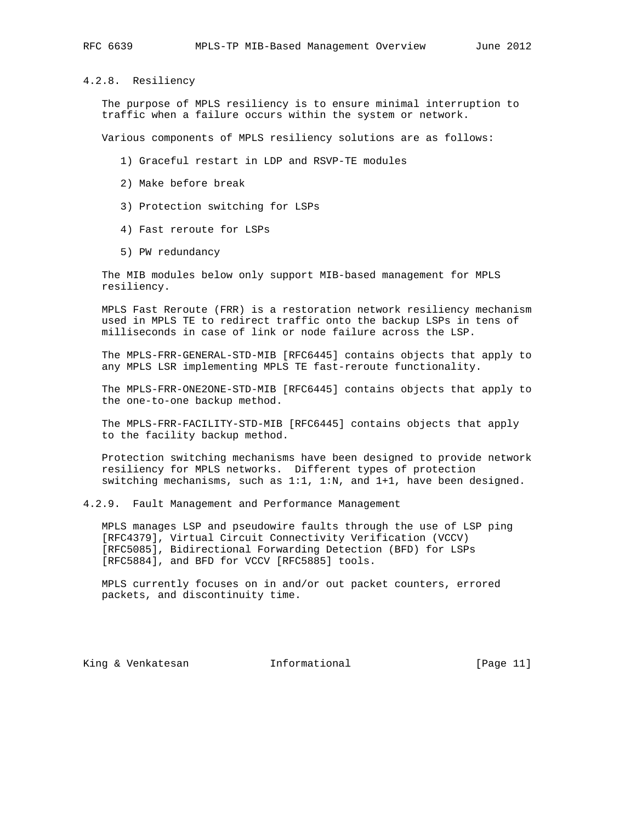4.2.8. Resiliency

 The purpose of MPLS resiliency is to ensure minimal interruption to traffic when a failure occurs within the system or network.

Various components of MPLS resiliency solutions are as follows:

- 1) Graceful restart in LDP and RSVP-TE modules
- 2) Make before break
- 3) Protection switching for LSPs
- 4) Fast reroute for LSPs
- 5) PW redundancy

 The MIB modules below only support MIB-based management for MPLS resiliency.

 MPLS Fast Reroute (FRR) is a restoration network resiliency mechanism used in MPLS TE to redirect traffic onto the backup LSPs in tens of milliseconds in case of link or node failure across the LSP.

 The MPLS-FRR-GENERAL-STD-MIB [RFC6445] contains objects that apply to any MPLS LSR implementing MPLS TE fast-reroute functionality.

 The MPLS-FRR-ONE2ONE-STD-MIB [RFC6445] contains objects that apply to the one-to-one backup method.

 The MPLS-FRR-FACILITY-STD-MIB [RFC6445] contains objects that apply to the facility backup method.

 Protection switching mechanisms have been designed to provide network resiliency for MPLS networks. Different types of protection switching mechanisms, such as 1:1, 1:N, and 1+1, have been designed.

4.2.9. Fault Management and Performance Management

 MPLS manages LSP and pseudowire faults through the use of LSP ping [RFC4379], Virtual Circuit Connectivity Verification (VCCV) [RFC5085], Bidirectional Forwarding Detection (BFD) for LSPs [RFC5884], and BFD for VCCV [RFC5885] tools.

 MPLS currently focuses on in and/or out packet counters, errored packets, and discontinuity time.

King & Venkatesan Minformational (Page 11)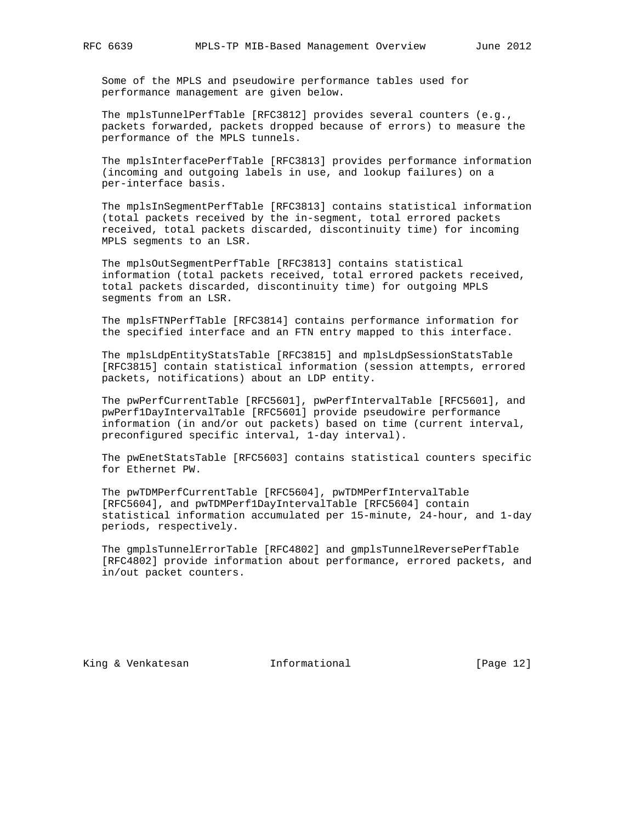Some of the MPLS and pseudowire performance tables used for performance management are given below.

 The mplsTunnelPerfTable [RFC3812] provides several counters (e.g., packets forwarded, packets dropped because of errors) to measure the performance of the MPLS tunnels.

 The mplsInterfacePerfTable [RFC3813] provides performance information (incoming and outgoing labels in use, and lookup failures) on a per-interface basis.

 The mplsInSegmentPerfTable [RFC3813] contains statistical information (total packets received by the in-segment, total errored packets received, total packets discarded, discontinuity time) for incoming MPLS segments to an LSR.

 The mplsOutSegmentPerfTable [RFC3813] contains statistical information (total packets received, total errored packets received, total packets discarded, discontinuity time) for outgoing MPLS segments from an LSR.

 The mplsFTNPerfTable [RFC3814] contains performance information for the specified interface and an FTN entry mapped to this interface.

 The mplsLdpEntityStatsTable [RFC3815] and mplsLdpSessionStatsTable [RFC3815] contain statistical information (session attempts, errored packets, notifications) about an LDP entity.

 The pwPerfCurrentTable [RFC5601], pwPerfIntervalTable [RFC5601], and pwPerf1DayIntervalTable [RFC5601] provide pseudowire performance information (in and/or out packets) based on time (current interval, preconfigured specific interval, 1-day interval).

 The pwEnetStatsTable [RFC5603] contains statistical counters specific for Ethernet PW.

 The pwTDMPerfCurrentTable [RFC5604], pwTDMPerfIntervalTable [RFC5604], and pwTDMPerf1DayIntervalTable [RFC5604] contain statistical information accumulated per 15-minute, 24-hour, and 1-day periods, respectively.

 The gmplsTunnelErrorTable [RFC4802] and gmplsTunnelReversePerfTable [RFC4802] provide information about performance, errored packets, and in/out packet counters.

King & Venkatesan Minformational (Page 12)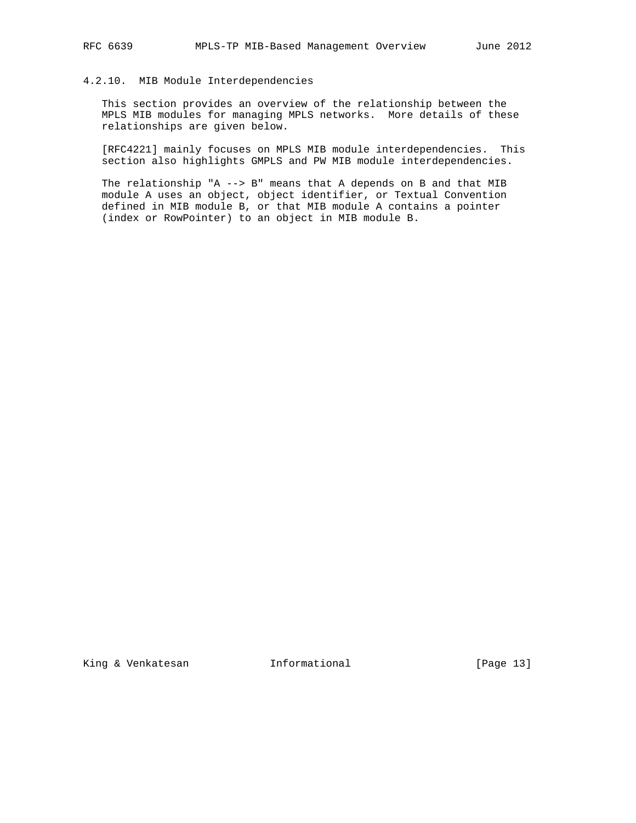#### 4.2.10. MIB Module Interdependencies

 This section provides an overview of the relationship between the MPLS MIB modules for managing MPLS networks. More details of these relationships are given below.

 [RFC4221] mainly focuses on MPLS MIB module interdependencies. This section also highlights GMPLS and PW MIB module interdependencies.

 The relationship "A --> B" means that A depends on B and that MIB module A uses an object, object identifier, or Textual Convention defined in MIB module B, or that MIB module A contains a pointer (index or RowPointer) to an object in MIB module B.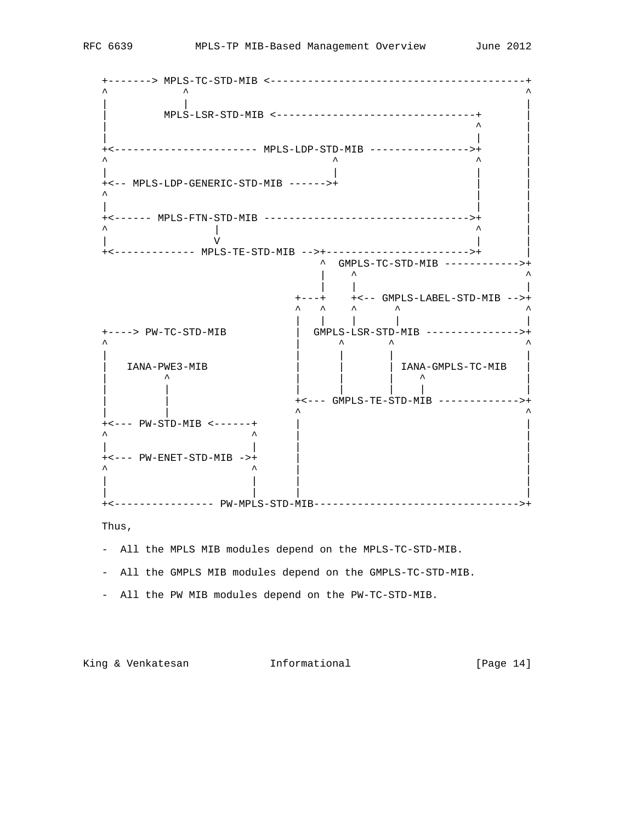

Thus,

- All the MPLS MIB modules depend on the MPLS-TC-STD-MIB.
- All the GMPLS MIB modules depend on the GMPLS-TC-STD-MIB.
- All the PW MIB modules depend on the PW-TC-STD-MIB.

King & Venkatesan Informational [Page 14]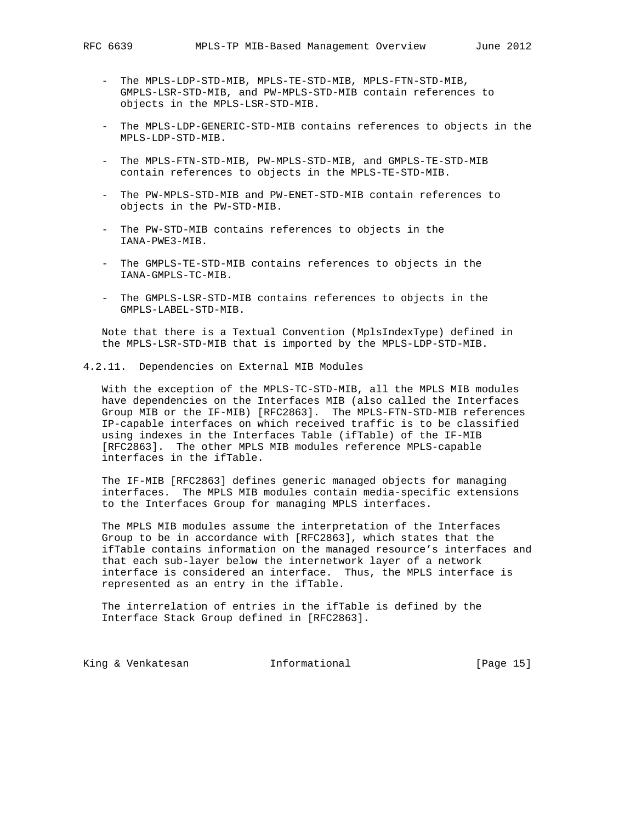- The MPLS-LDP-STD-MIB, MPLS-TE-STD-MIB, MPLS-FTN-STD-MIB, GMPLS-LSR-STD-MIB, and PW-MPLS-STD-MIB contain references to objects in the MPLS-LSR-STD-MIB.
- The MPLS-LDP-GENERIC-STD-MIB contains references to objects in the MPLS-LDP-STD-MIB.
- The MPLS-FTN-STD-MIB, PW-MPLS-STD-MIB, and GMPLS-TE-STD-MIB contain references to objects in the MPLS-TE-STD-MIB.
- The PW-MPLS-STD-MIB and PW-ENET-STD-MIB contain references to objects in the PW-STD-MIB.
- The PW-STD-MIB contains references to objects in the IANA-PWE3-MIB.
- The GMPLS-TE-STD-MIB contains references to objects in the IANA-GMPLS-TC-MIB.
- The GMPLS-LSR-STD-MIB contains references to objects in the GMPLS-LABEL-STD-MIB.

 Note that there is a Textual Convention (MplsIndexType) defined in the MPLS-LSR-STD-MIB that is imported by the MPLS-LDP-STD-MIB.

4.2.11. Dependencies on External MIB Modules

 With the exception of the MPLS-TC-STD-MIB, all the MPLS MIB modules have dependencies on the Interfaces MIB (also called the Interfaces Group MIB or the IF-MIB) [RFC2863]. The MPLS-FTN-STD-MIB references IP-capable interfaces on which received traffic is to be classified using indexes in the Interfaces Table (ifTable) of the IF-MIB [RFC2863]. The other MPLS MIB modules reference MPLS-capable interfaces in the ifTable.

 The IF-MIB [RFC2863] defines generic managed objects for managing interfaces. The MPLS MIB modules contain media-specific extensions to the Interfaces Group for managing MPLS interfaces.

 The MPLS MIB modules assume the interpretation of the Interfaces Group to be in accordance with [RFC2863], which states that the ifTable contains information on the managed resource's interfaces and that each sub-layer below the internetwork layer of a network interface is considered an interface. Thus, the MPLS interface is represented as an entry in the ifTable.

 The interrelation of entries in the ifTable is defined by the Interface Stack Group defined in [RFC2863].

King & Venkatesan Minformational (Page 15)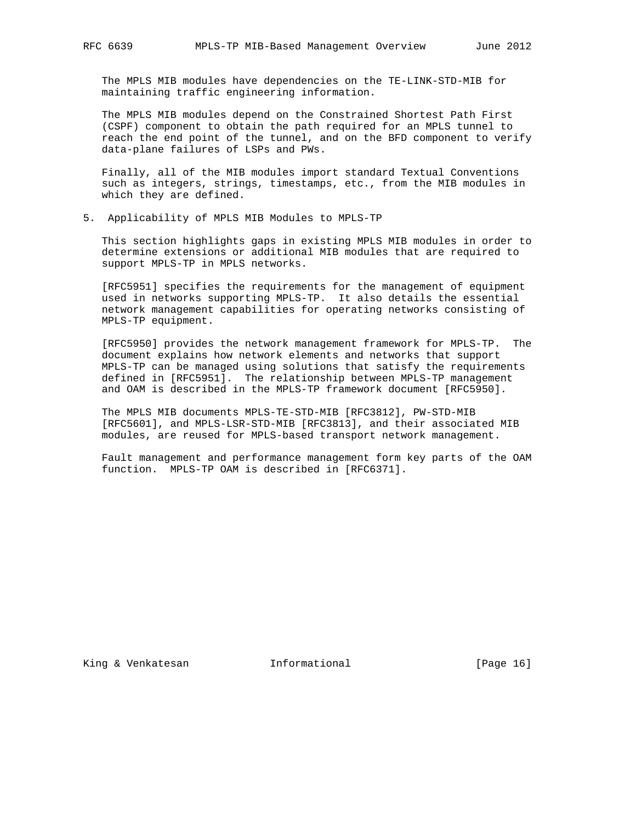The MPLS MIB modules have dependencies on the TE-LINK-STD-MIB for maintaining traffic engineering information.

 The MPLS MIB modules depend on the Constrained Shortest Path First (CSPF) component to obtain the path required for an MPLS tunnel to reach the end point of the tunnel, and on the BFD component to verify data-plane failures of LSPs and PWs.

 Finally, all of the MIB modules import standard Textual Conventions such as integers, strings, timestamps, etc., from the MIB modules in which they are defined.

5. Applicability of MPLS MIB Modules to MPLS-TP

 This section highlights gaps in existing MPLS MIB modules in order to determine extensions or additional MIB modules that are required to support MPLS-TP in MPLS networks.

 [RFC5951] specifies the requirements for the management of equipment used in networks supporting MPLS-TP. It also details the essential network management capabilities for operating networks consisting of MPLS-TP equipment.

 [RFC5950] provides the network management framework for MPLS-TP. The document explains how network elements and networks that support MPLS-TP can be managed using solutions that satisfy the requirements defined in [RFC5951]. The relationship between MPLS-TP management and OAM is described in the MPLS-TP framework document [RFC5950].

 The MPLS MIB documents MPLS-TE-STD-MIB [RFC3812], PW-STD-MIB [RFC5601], and MPLS-LSR-STD-MIB [RFC3813], and their associated MIB modules, are reused for MPLS-based transport network management.

 Fault management and performance management form key parts of the OAM function. MPLS-TP OAM is described in [RFC6371].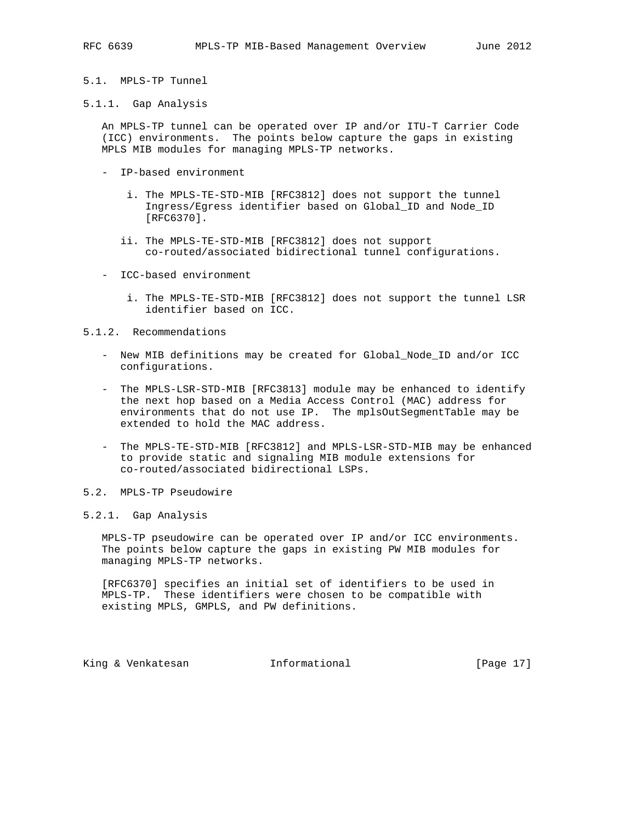- 
- 5.1. MPLS-TP Tunnel
- 5.1.1. Gap Analysis

 An MPLS-TP tunnel can be operated over IP and/or ITU-T Carrier Code (ICC) environments. The points below capture the gaps in existing MPLS MIB modules for managing MPLS-TP networks.

- IP-based environment
	- i. The MPLS-TE-STD-MIB [RFC3812] does not support the tunnel Ingress/Egress identifier based on Global\_ID and Node\_ID [RFC6370].
	- ii. The MPLS-TE-STD-MIB [RFC3812] does not support co-routed/associated bidirectional tunnel configurations.
- ICC-based environment
	- i. The MPLS-TE-STD-MIB [RFC3812] does not support the tunnel LSR identifier based on ICC.

#### 5.1.2. Recommendations

- New MIB definitions may be created for Global\_Node\_ID and/or ICC configurations.
- The MPLS-LSR-STD-MIB [RFC3813] module may be enhanced to identify the next hop based on a Media Access Control (MAC) address for environments that do not use IP. The mplsOutSegmentTable may be extended to hold the MAC address.
- The MPLS-TE-STD-MIB [RFC3812] and MPLS-LSR-STD-MIB may be enhanced to provide static and signaling MIB module extensions for co-routed/associated bidirectional LSPs.
- 5.2. MPLS-TP Pseudowire

## 5.2.1. Gap Analysis

 MPLS-TP pseudowire can be operated over IP and/or ICC environments. The points below capture the gaps in existing PW MIB modules for managing MPLS-TP networks.

 [RFC6370] specifies an initial set of identifiers to be used in MPLS-TP. These identifiers were chosen to be compatible with existing MPLS, GMPLS, and PW definitions.

King & Venkatesan Minformational (Page 17)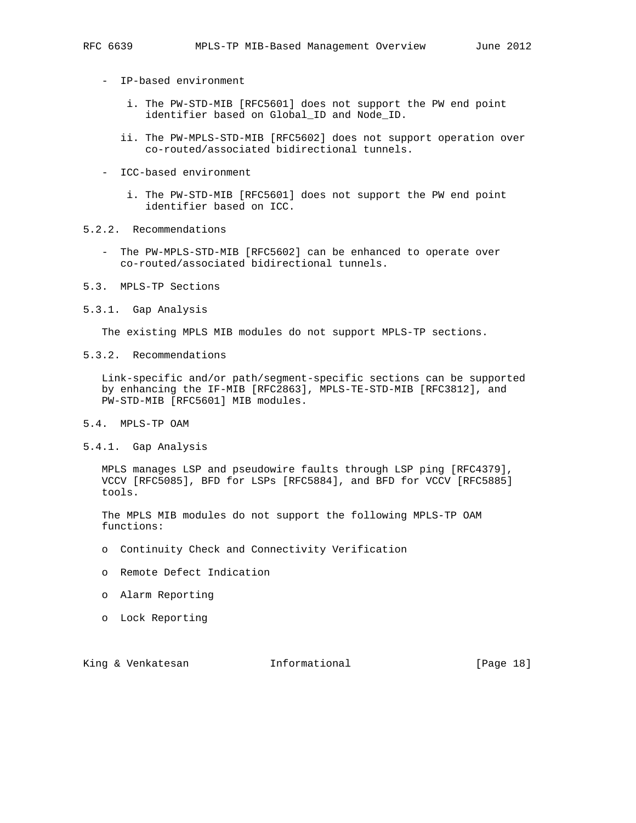- - IP-based environment
		- i. The PW-STD-MIB [RFC5601] does not support the PW end point identifier based on Global\_ID and Node\_ID.
		- ii. The PW-MPLS-STD-MIB [RFC5602] does not support operation over co-routed/associated bidirectional tunnels.
	- ICC-based environment
		- i. The PW-STD-MIB [RFC5601] does not support the PW end point identifier based on ICC.
- 5.2.2. Recommendations
	- The PW-MPLS-STD-MIB [RFC5602] can be enhanced to operate over co-routed/associated bidirectional tunnels.
- 5.3. MPLS-TP Sections
- 5.3.1. Gap Analysis

The existing MPLS MIB modules do not support MPLS-TP sections.

5.3.2. Recommendations

 Link-specific and/or path/segment-specific sections can be supported by enhancing the IF-MIB [RFC2863], MPLS-TE-STD-MIB [RFC3812], and PW-STD-MIB [RFC5601] MIB modules.

- 5.4. MPLS-TP OAM
- 5.4.1. Gap Analysis

 MPLS manages LSP and pseudowire faults through LSP ping [RFC4379], VCCV [RFC5085], BFD for LSPs [RFC5884], and BFD for VCCV [RFC5885] tools.

 The MPLS MIB modules do not support the following MPLS-TP OAM functions:

- o Continuity Check and Connectivity Verification
- o Remote Defect Indication
- o Alarm Reporting
- o Lock Reporting

King & Venkatesan Minformational (Page 18)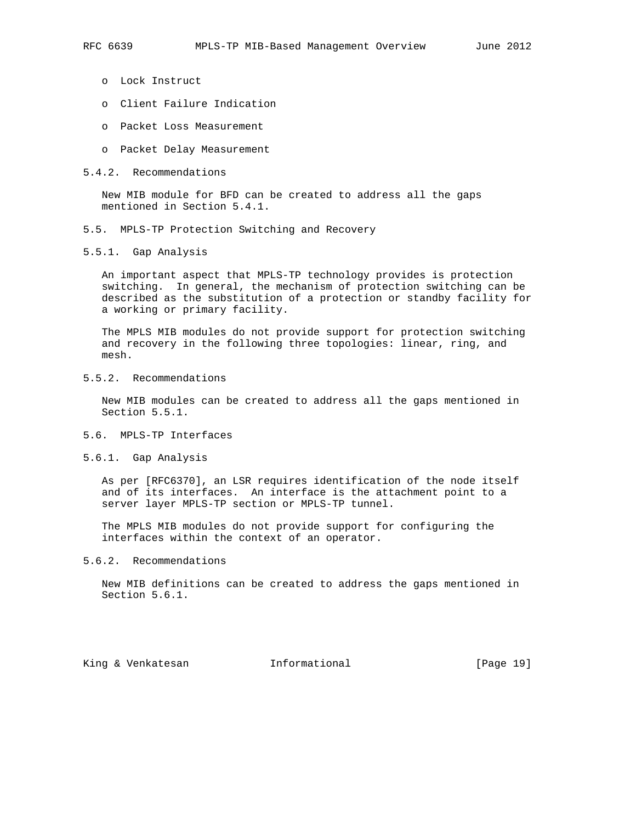- - o Lock Instruct
	- o Client Failure Indication
	- o Packet Loss Measurement
	- o Packet Delay Measurement
- 5.4.2. Recommendations

 New MIB module for BFD can be created to address all the gaps mentioned in Section 5.4.1.

- 5.5. MPLS-TP Protection Switching and Recovery
- 5.5.1. Gap Analysis

 An important aspect that MPLS-TP technology provides is protection switching. In general, the mechanism of protection switching can be described as the substitution of a protection or standby facility for a working or primary facility.

 The MPLS MIB modules do not provide support for protection switching and recovery in the following three topologies: linear, ring, and mesh.

5.5.2. Recommendations

 New MIB modules can be created to address all the gaps mentioned in Section 5.5.1.

- 5.6. MPLS-TP Interfaces
- 5.6.1. Gap Analysis

 As per [RFC6370], an LSR requires identification of the node itself and of its interfaces. An interface is the attachment point to a server layer MPLS-TP section or MPLS-TP tunnel.

 The MPLS MIB modules do not provide support for configuring the interfaces within the context of an operator.

5.6.2. Recommendations

 New MIB definitions can be created to address the gaps mentioned in Section 5.6.1.

King & Venkatesan Informational [Page 19]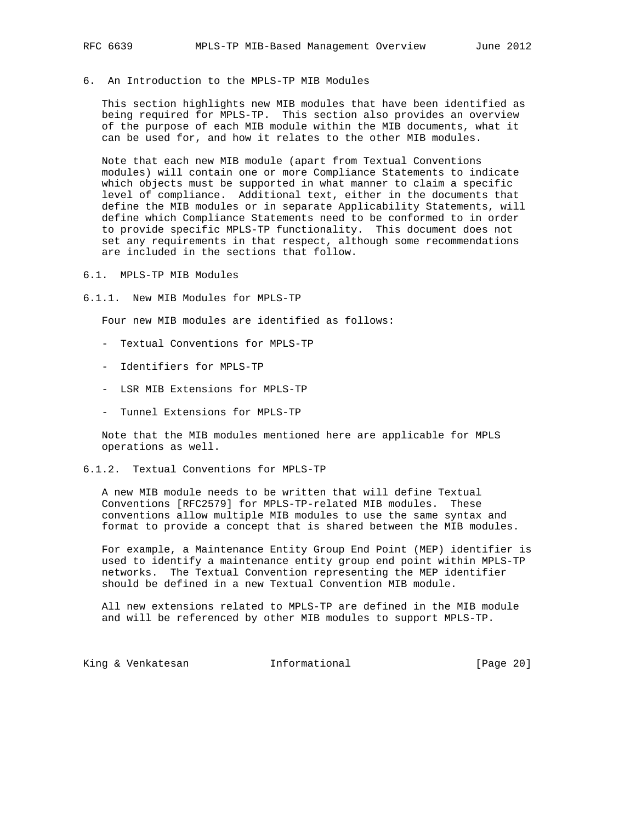6. An Introduction to the MPLS-TP MIB Modules

 This section highlights new MIB modules that have been identified as being required for MPLS-TP. This section also provides an overview of the purpose of each MIB module within the MIB documents, what it can be used for, and how it relates to the other MIB modules.

 Note that each new MIB module (apart from Textual Conventions modules) will contain one or more Compliance Statements to indicate which objects must be supported in what manner to claim a specific level of compliance. Additional text, either in the documents that define the MIB modules or in separate Applicability Statements, will define which Compliance Statements need to be conformed to in order to provide specific MPLS-TP functionality. This document does not set any requirements in that respect, although some recommendations are included in the sections that follow.

- 6.1. MPLS-TP MIB Modules
- 6.1.1. New MIB Modules for MPLS-TP

Four new MIB modules are identified as follows:

- Textual Conventions for MPLS-TP
- Identifiers for MPLS-TP
- LSR MIB Extensions for MPLS-TP
- Tunnel Extensions for MPLS-TP

 Note that the MIB modules mentioned here are applicable for MPLS operations as well.

6.1.2. Textual Conventions for MPLS-TP

 A new MIB module needs to be written that will define Textual Conventions [RFC2579] for MPLS-TP-related MIB modules. These conventions allow multiple MIB modules to use the same syntax and format to provide a concept that is shared between the MIB modules.

 For example, a Maintenance Entity Group End Point (MEP) identifier is used to identify a maintenance entity group end point within MPLS-TP networks. The Textual Convention representing the MEP identifier should be defined in a new Textual Convention MIB module.

 All new extensions related to MPLS-TP are defined in the MIB module and will be referenced by other MIB modules to support MPLS-TP.

King & Venkatesan Minformational [Page 20]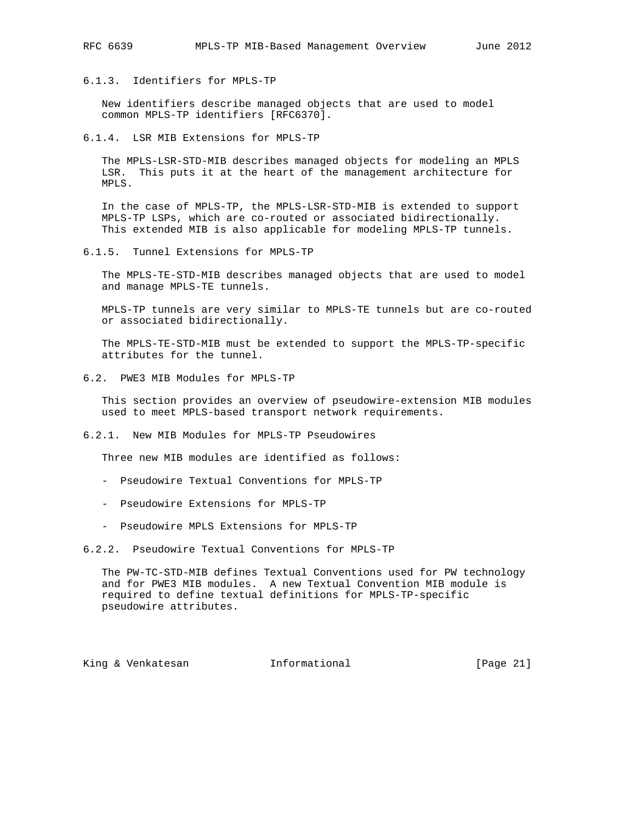6.1.3. Identifiers for MPLS-TP

 New identifiers describe managed objects that are used to model common MPLS-TP identifiers [RFC6370].

6.1.4. LSR MIB Extensions for MPLS-TP

 The MPLS-LSR-STD-MIB describes managed objects for modeling an MPLS LSR. This puts it at the heart of the management architecture for MPLS.

 In the case of MPLS-TP, the MPLS-LSR-STD-MIB is extended to support MPLS-TP LSPs, which are co-routed or associated bidirectionally. This extended MIB is also applicable for modeling MPLS-TP tunnels.

6.1.5. Tunnel Extensions for MPLS-TP

 The MPLS-TE-STD-MIB describes managed objects that are used to model and manage MPLS-TE tunnels.

 MPLS-TP tunnels are very similar to MPLS-TE tunnels but are co-routed or associated bidirectionally.

 The MPLS-TE-STD-MIB must be extended to support the MPLS-TP-specific attributes for the tunnel.

6.2. PWE3 MIB Modules for MPLS-TP

 This section provides an overview of pseudowire-extension MIB modules used to meet MPLS-based transport network requirements.

6.2.1. New MIB Modules for MPLS-TP Pseudowires

Three new MIB modules are identified as follows:

- Pseudowire Textual Conventions for MPLS-TP
- Pseudowire Extensions for MPLS-TP
- Pseudowire MPLS Extensions for MPLS-TP

6.2.2. Pseudowire Textual Conventions for MPLS-TP

 The PW-TC-STD-MIB defines Textual Conventions used for PW technology and for PWE3 MIB modules. A new Textual Convention MIB module is required to define textual definitions for MPLS-TP-specific pseudowire attributes.

King & Venkatesan Informational [Page 21]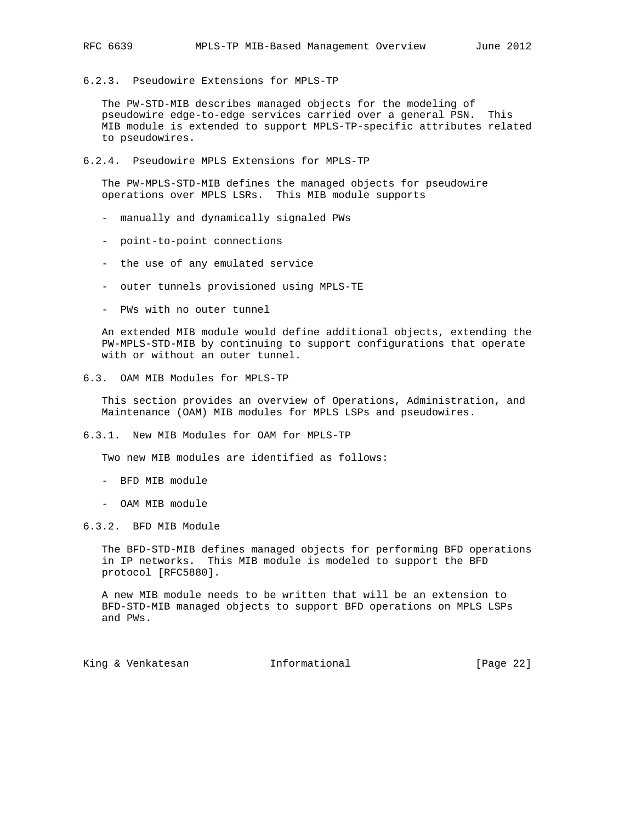6.2.3. Pseudowire Extensions for MPLS-TP

 The PW-STD-MIB describes managed objects for the modeling of pseudowire edge-to-edge services carried over a general PSN. This MIB module is extended to support MPLS-TP-specific attributes related to pseudowires.

6.2.4. Pseudowire MPLS Extensions for MPLS-TP

 The PW-MPLS-STD-MIB defines the managed objects for pseudowire operations over MPLS LSRs. This MIB module supports

- manually and dynamically signaled PWs
- point-to-point connections
- the use of any emulated service
- outer tunnels provisioned using MPLS-TE
- PWs with no outer tunnel

 An extended MIB module would define additional objects, extending the PW-MPLS-STD-MIB by continuing to support configurations that operate with or without an outer tunnel.

6.3. OAM MIB Modules for MPLS-TP

 This section provides an overview of Operations, Administration, and Maintenance (OAM) MIB modules for MPLS LSPs and pseudowires.

6.3.1. New MIB Modules for OAM for MPLS-TP

Two new MIB modules are identified as follows:

- BFD MIB module
- OAM MIB module
- 6.3.2. BFD MIB Module

 The BFD-STD-MIB defines managed objects for performing BFD operations in IP networks. This MIB module is modeled to support the BFD protocol [RFC5880].

 A new MIB module needs to be written that will be an extension to BFD-STD-MIB managed objects to support BFD operations on MPLS LSPs and PWs.

King & Venkatesan **Informational** [Page 22]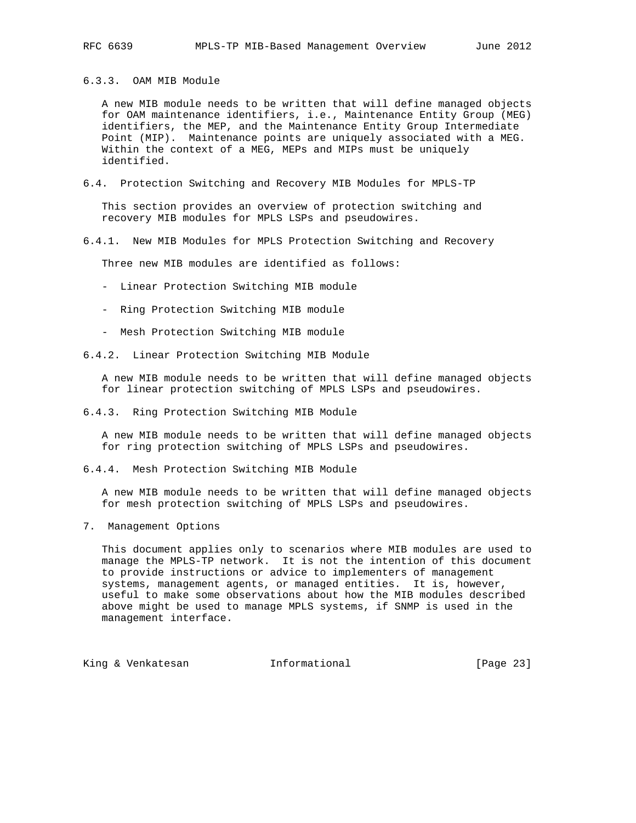6.3.3. OAM MIB Module

 A new MIB module needs to be written that will define managed objects for OAM maintenance identifiers, i.e., Maintenance Entity Group (MEG) identifiers, the MEP, and the Maintenance Entity Group Intermediate Point (MIP). Maintenance points are uniquely associated with a MEG. Within the context of a MEG, MEPs and MIPs must be uniquely identified.

6.4. Protection Switching and Recovery MIB Modules for MPLS-TP

 This section provides an overview of protection switching and recovery MIB modules for MPLS LSPs and pseudowires.

6.4.1. New MIB Modules for MPLS Protection Switching and Recovery

Three new MIB modules are identified as follows:

- Linear Protection Switching MIB module
- Ring Protection Switching MIB module
- Mesh Protection Switching MIB module
- 6.4.2. Linear Protection Switching MIB Module

 A new MIB module needs to be written that will define managed objects for linear protection switching of MPLS LSPs and pseudowires.

6.4.3. Ring Protection Switching MIB Module

 A new MIB module needs to be written that will define managed objects for ring protection switching of MPLS LSPs and pseudowires.

6.4.4. Mesh Protection Switching MIB Module

 A new MIB module needs to be written that will define managed objects for mesh protection switching of MPLS LSPs and pseudowires.

7. Management Options

 This document applies only to scenarios where MIB modules are used to manage the MPLS-TP network. It is not the intention of this document to provide instructions or advice to implementers of management systems, management agents, or managed entities. It is, however, useful to make some observations about how the MIB modules described above might be used to manage MPLS systems, if SNMP is used in the management interface.

King & Venkatesan **Informational** [Page 23]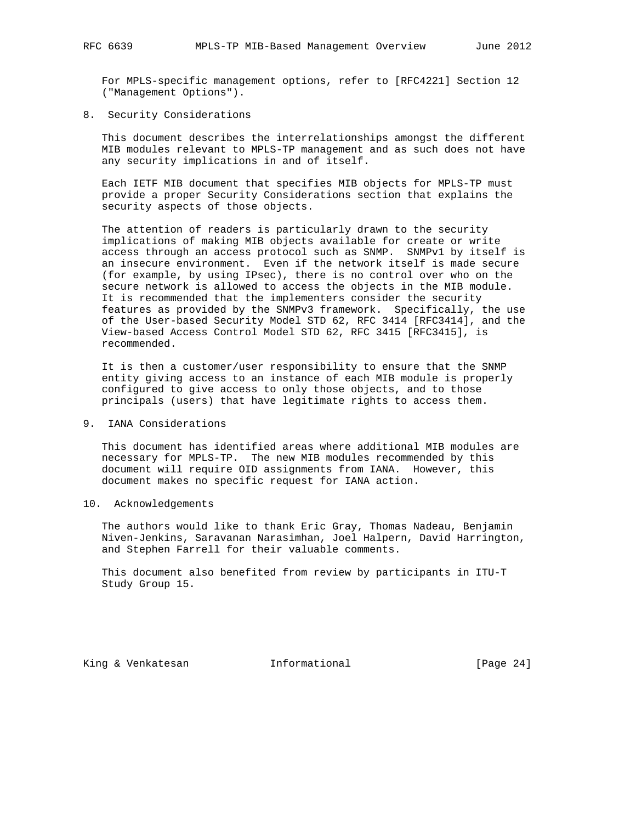For MPLS-specific management options, refer to [RFC4221] Section 12 ("Management Options").

8. Security Considerations

 This document describes the interrelationships amongst the different MIB modules relevant to MPLS-TP management and as such does not have any security implications in and of itself.

 Each IETF MIB document that specifies MIB objects for MPLS-TP must provide a proper Security Considerations section that explains the security aspects of those objects.

 The attention of readers is particularly drawn to the security implications of making MIB objects available for create or write access through an access protocol such as SNMP. SNMPv1 by itself is an insecure environment. Even if the network itself is made secure (for example, by using IPsec), there is no control over who on the secure network is allowed to access the objects in the MIB module. It is recommended that the implementers consider the security features as provided by the SNMPv3 framework. Specifically, the use of the User-based Security Model STD 62, RFC 3414 [RFC3414], and the View-based Access Control Model STD 62, RFC 3415 [RFC3415], is recommended.

 It is then a customer/user responsibility to ensure that the SNMP entity giving access to an instance of each MIB module is properly configured to give access to only those objects, and to those principals (users) that have legitimate rights to access them.

9. IANA Considerations

 This document has identified areas where additional MIB modules are necessary for MPLS-TP. The new MIB modules recommended by this document will require OID assignments from IANA. However, this document makes no specific request for IANA action.

10. Acknowledgements

 The authors would like to thank Eric Gray, Thomas Nadeau, Benjamin Niven-Jenkins, Saravanan Narasimhan, Joel Halpern, David Harrington, and Stephen Farrell for their valuable comments.

 This document also benefited from review by participants in ITU-T Study Group 15.

King & Venkatesan Informational [Page 24]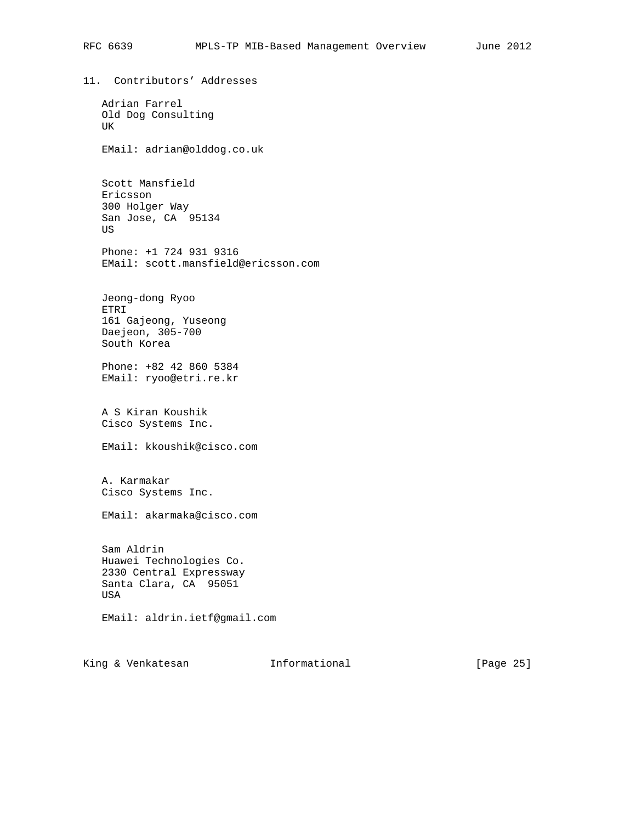11. Contributors' Addresses Adrian Farrel Old Dog Consulting UK EMail: adrian@olddog.co.uk Scott Mansfield Ericsson 300 Holger Way San Jose, CA 95134 US Phone: +1 724 931 9316 EMail: scott.mansfield@ericsson.com Jeong-dong Ryoo ETRI 161 Gajeong, Yuseong Daejeon, 305-700 South Korea Phone: +82 42 860 5384 EMail: ryoo@etri.re.kr A S Kiran Koushik Cisco Systems Inc. EMail: kkoushik@cisco.com A. Karmakar Cisco Systems Inc. EMail: akarmaka@cisco.com Sam Aldrin Huawei Technologies Co. 2330 Central Expressway Santa Clara, CA 95051 USA EMail: aldrin.ietf@gmail.com

King & Venkatesan Minformational (Page 25)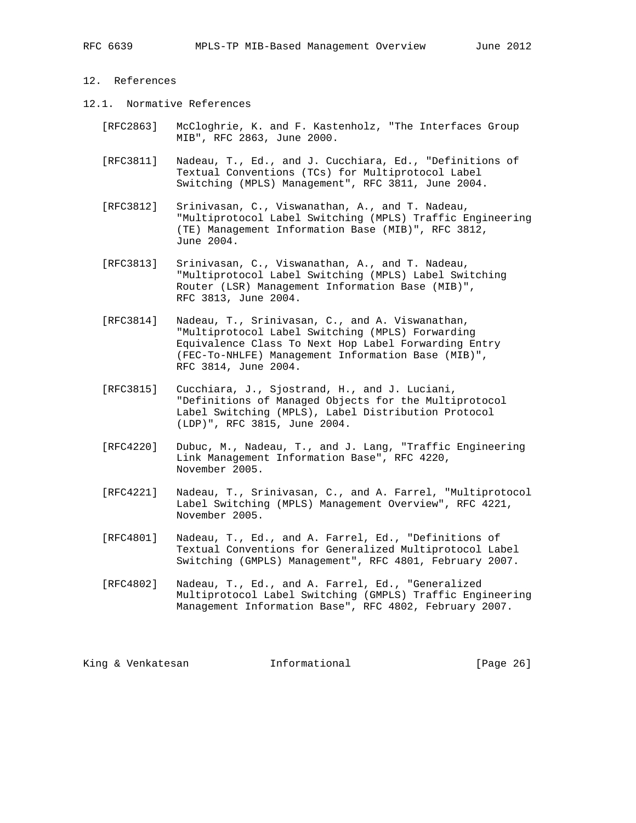# 12. References

- 12.1. Normative References
	- [RFC2863] McCloghrie, K. and F. Kastenholz, "The Interfaces Group MIB", RFC 2863, June 2000.
	- [RFC3811] Nadeau, T., Ed., and J. Cucchiara, Ed., "Definitions of Textual Conventions (TCs) for Multiprotocol Label Switching (MPLS) Management", RFC 3811, June 2004.
	- [RFC3812] Srinivasan, C., Viswanathan, A., and T. Nadeau, "Multiprotocol Label Switching (MPLS) Traffic Engineering (TE) Management Information Base (MIB)", RFC 3812, June 2004.
	- [RFC3813] Srinivasan, C., Viswanathan, A., and T. Nadeau, "Multiprotocol Label Switching (MPLS) Label Switching Router (LSR) Management Information Base (MIB)", RFC 3813, June 2004.
	- [RFC3814] Nadeau, T., Srinivasan, C., and A. Viswanathan, "Multiprotocol Label Switching (MPLS) Forwarding Equivalence Class To Next Hop Label Forwarding Entry (FEC-To-NHLFE) Management Information Base (MIB)", RFC 3814, June 2004.
	- [RFC3815] Cucchiara, J., Sjostrand, H., and J. Luciani, "Definitions of Managed Objects for the Multiprotocol Label Switching (MPLS), Label Distribution Protocol (LDP)", RFC 3815, June 2004.
	- [RFC4220] Dubuc, M., Nadeau, T., and J. Lang, "Traffic Engineering Link Management Information Base", RFC 4220, November 2005.
	- [RFC4221] Nadeau, T., Srinivasan, C., and A. Farrel, "Multiprotocol Label Switching (MPLS) Management Overview", RFC 4221, November 2005.
	- [RFC4801] Nadeau, T., Ed., and A. Farrel, Ed., "Definitions of Textual Conventions for Generalized Multiprotocol Label Switching (GMPLS) Management", RFC 4801, February 2007.
	- [RFC4802] Nadeau, T., Ed., and A. Farrel, Ed., "Generalized Multiprotocol Label Switching (GMPLS) Traffic Engineering Management Information Base", RFC 4802, February 2007.

King & Venkatesan Minformational [Page 26]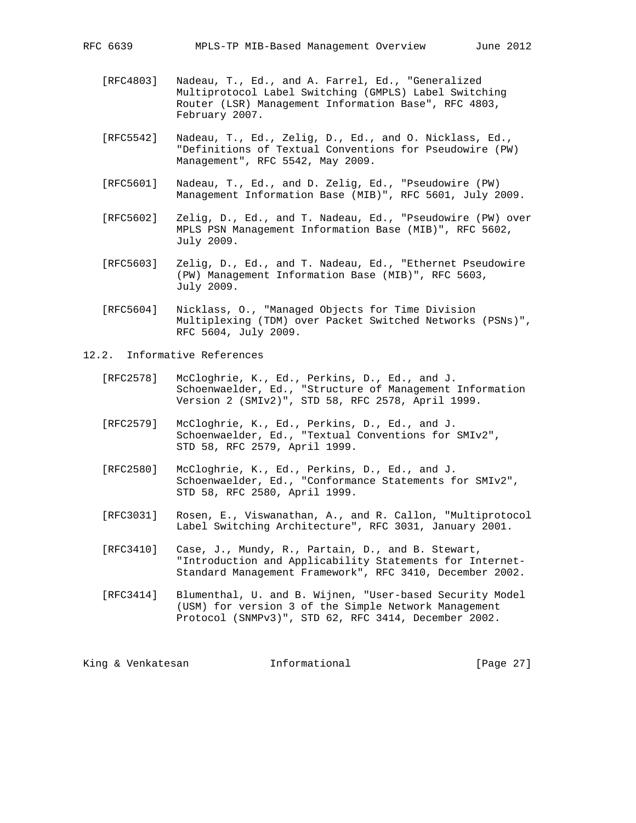- [RFC4803] Nadeau, T., Ed., and A. Farrel, Ed., "Generalized Multiprotocol Label Switching (GMPLS) Label Switching Router (LSR) Management Information Base", RFC 4803, February 2007.
- [RFC5542] Nadeau, T., Ed., Zelig, D., Ed., and O. Nicklass, Ed., "Definitions of Textual Conventions for Pseudowire (PW) Management", RFC 5542, May 2009.
- [RFC5601] Nadeau, T., Ed., and D. Zelig, Ed., "Pseudowire (PW) Management Information Base (MIB)", RFC 5601, July 2009.
- [RFC5602] Zelig, D., Ed., and T. Nadeau, Ed., "Pseudowire (PW) over MPLS PSN Management Information Base (MIB)", RFC 5602, July 2009.
- [RFC5603] Zelig, D., Ed., and T. Nadeau, Ed., "Ethernet Pseudowire (PW) Management Information Base (MIB)", RFC 5603, July 2009.
- [RFC5604] Nicklass, O., "Managed Objects for Time Division Multiplexing (TDM) over Packet Switched Networks (PSNs)", RFC 5604, July 2009.
- 12.2. Informative References
	- [RFC2578] McCloghrie, K., Ed., Perkins, D., Ed., and J. Schoenwaelder, Ed., "Structure of Management Information Version 2 (SMIv2)", STD 58, RFC 2578, April 1999.
	- [RFC2579] McCloghrie, K., Ed., Perkins, D., Ed., and J. Schoenwaelder, Ed., "Textual Conventions for SMIv2", STD 58, RFC 2579, April 1999.
	- [RFC2580] McCloghrie, K., Ed., Perkins, D., Ed., and J. Schoenwaelder, Ed., "Conformance Statements for SMIv2", STD 58, RFC 2580, April 1999.
	- [RFC3031] Rosen, E., Viswanathan, A., and R. Callon, "Multiprotocol Label Switching Architecture", RFC 3031, January 2001.
	- [RFC3410] Case, J., Mundy, R., Partain, D., and B. Stewart, "Introduction and Applicability Statements for Internet- Standard Management Framework", RFC 3410, December 2002.
	- [RFC3414] Blumenthal, U. and B. Wijnen, "User-based Security Model (USM) for version 3 of the Simple Network Management Protocol (SNMPv3)", STD 62, RFC 3414, December 2002.

King & Venkatesan **Informational** [Page 27]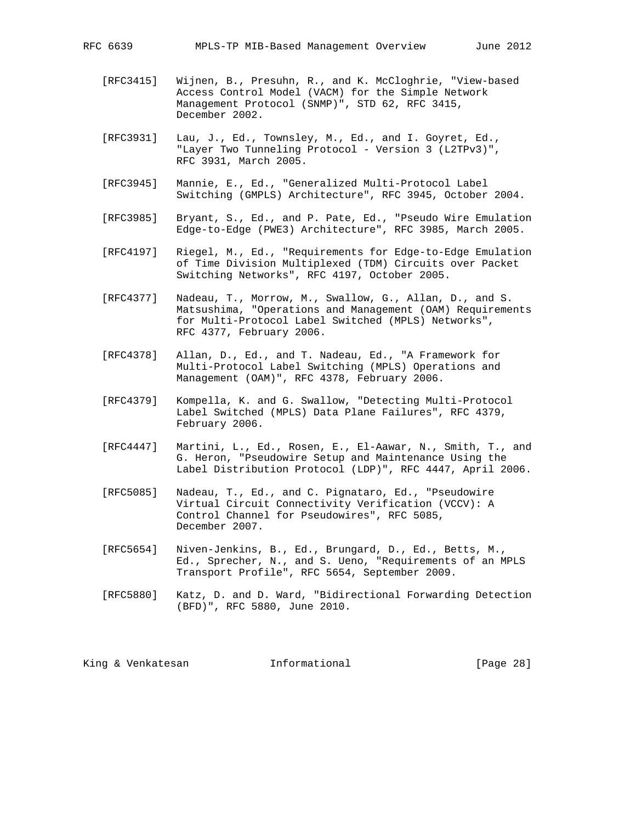- [RFC3415] Wijnen, B., Presuhn, R., and K. McCloghrie, "View-based Access Control Model (VACM) for the Simple Network Management Protocol (SNMP)", STD 62, RFC 3415, December 2002.
- [RFC3931] Lau, J., Ed., Townsley, M., Ed., and I. Goyret, Ed., "Layer Two Tunneling Protocol - Version 3 (L2TPv3)", RFC 3931, March 2005.
- [RFC3945] Mannie, E., Ed., "Generalized Multi-Protocol Label Switching (GMPLS) Architecture", RFC 3945, October 2004.
- [RFC3985] Bryant, S., Ed., and P. Pate, Ed., "Pseudo Wire Emulation Edge-to-Edge (PWE3) Architecture", RFC 3985, March 2005.
- [RFC4197] Riegel, M., Ed., "Requirements for Edge-to-Edge Emulation of Time Division Multiplexed (TDM) Circuits over Packet Switching Networks", RFC 4197, October 2005.
- [RFC4377] Nadeau, T., Morrow, M., Swallow, G., Allan, D., and S. Matsushima, "Operations and Management (OAM) Requirements for Multi-Protocol Label Switched (MPLS) Networks", RFC 4377, February 2006.
- [RFC4378] Allan, D., Ed., and T. Nadeau, Ed., "A Framework for Multi-Protocol Label Switching (MPLS) Operations and Management (OAM)", RFC 4378, February 2006.
- [RFC4379] Kompella, K. and G. Swallow, "Detecting Multi-Protocol Label Switched (MPLS) Data Plane Failures", RFC 4379, February 2006.
- [RFC4447] Martini, L., Ed., Rosen, E., El-Aawar, N., Smith, T., and G. Heron, "Pseudowire Setup and Maintenance Using the Label Distribution Protocol (LDP)", RFC 4447, April 2006.
- [RFC5085] Nadeau, T., Ed., and C. Pignataro, Ed., "Pseudowire Virtual Circuit Connectivity Verification (VCCV): A Control Channel for Pseudowires", RFC 5085, December 2007.
- [RFC5654] Niven-Jenkins, B., Ed., Brungard, D., Ed., Betts, M., Ed., Sprecher, N., and S. Ueno, "Requirements of an MPLS Transport Profile", RFC 5654, September 2009.
- [RFC5880] Katz, D. and D. Ward, "Bidirectional Forwarding Detection (BFD)", RFC 5880, June 2010.

| [Page 28]<br>King & Venkatesan<br>Informational |  |  |  |
|-------------------------------------------------|--|--|--|
|-------------------------------------------------|--|--|--|